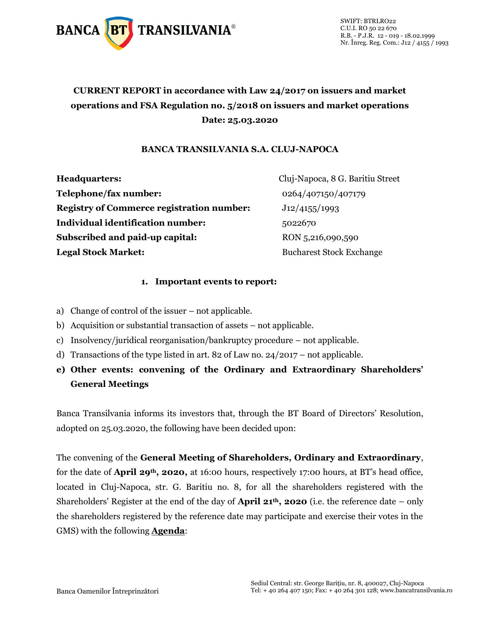

### **CURRENT REPORT in accordance with Law 24/2017 on issuers and market operations and FSA Regulation no. 5/2018 on issuers and market operations Date: 25.03.2020**

#### **BANCA TRANSILVANIA S.A. CLUJ-NAPOCA**

| <b>Headquarters:</b>                             |  |
|--------------------------------------------------|--|
| Telephone/fax number:                            |  |
| <b>Registry of Commerce registration number:</b> |  |
| <b>Individual identification number:</b>         |  |
| Subscribed and paid-up capital:                  |  |
| <b>Legal Stock Market:</b>                       |  |

**Headquarters:** Cluj-Napoca, 8 G. Baritiu Street **Telephone/fax number:** 0264/407150/407179 **Registry of Commerce registration number:** J12/4155/1993 **Individual identification number:** 5022670 **Subscribed and paid-up capital:** RON 5,216,090,590 **Legal Stock Market:** Bucharest Stock Exchange

#### **1. Important events to report:**

- a) Change of control of the issuer not applicable.
- b) Acquisition or substantial transaction of assets not applicable.
- c) Insolvency/juridical reorganisation/bankruptcy procedure not applicable.
- d) Transactions of the type listed in art. 82 of Law no.  $24/2017$  not applicable.
- **e) Other events: convening of the Ordinary and Extraordinary Shareholders' General Meetings**

Banca Transilvania informs its investors that, through the BT Board of Directors' Resolution, adopted on 25.03.2020, the following have been decided upon:

The convening of the **General Meeting of Shareholders, Ordinary and Extraordinary**, for the date of **April 29th, 2020,** at 16:00 hours, respectively 17:00 hours, at BT's head office, located in Cluj-Napoca, str. G. Baritiu no. 8, for all the shareholders registered with the Shareholders' Register at the end of the day of **April 21th, 2020** (i.e. the reference date – only the shareholders registered by the reference date may participate and exercise their votes in the GMS) with the following **Agenda**: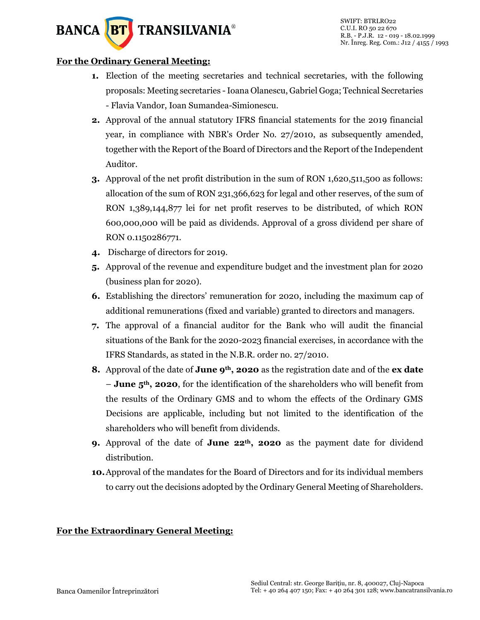# **BANCA BT** TRANSILVANIA<sup>®</sup>

#### **For the Ordinary General Meeting:**

- **1.** Election of the meeting secretaries and technical secretaries, with the following proposals: Meeting secretaries -Ioana Olanescu, Gabriel Goga; Technical Secretaries - Flavia Vandor, Ioan Sumandea-Simionescu.
- **2.** Approval of the annual statutory IFRS financial statements for the 2019 financial year, in compliance with NBR's Order No. 27/2010, as subsequently amended, together with the Report of the Board of Directors and the Report of the Independent Auditor.
- **3.** Approval of the net profit distribution in the sum of RON 1,620,511,500 as follows: allocation of the sum of RON 231,366,623 for legal and other reserves, of the sum of RON 1,389,144,877 lei for net profit reserves to be distributed, of which RON 600,000,000 will be paid as dividends. Approval of a gross dividend per share of RON 0.1150286771.
- **4.** Discharge of directors for 2019.
- **5.** Approval of the revenue and expenditure budget and the investment plan for 2020 (business plan for 2020).
- **6.** Establishing the directors' remuneration for 2020, including the maximum cap of additional remunerations (fixed and variable) granted to directors and managers.
- **7.** The approval of a financial auditor for the Bank who will audit the financial situations of the Bank for the 2020-2023 financial exercises, in accordance with the IFRS Standards, as stated in the N.B.R. order no. 27/2010.
- **8.** Approval of the date of **June 9th, 2020** as the registration date and of the **ex date** – **June 5th, 2020**, for the identification of the shareholders who will benefit from the results of the Ordinary GMS and to whom the effects of the Ordinary GMS Decisions are applicable, including but not limited to the identification of the shareholders who will benefit from dividends.
- **9.** Approval of the date of **June 22th, 2020** as the payment date for dividend distribution.
- **10.**Approval of the mandates for the Board of Directors and for its individual members to carry out the decisions adopted by the Ordinary General Meeting of Shareholders.

#### **For the Extraordinary General Meeting:**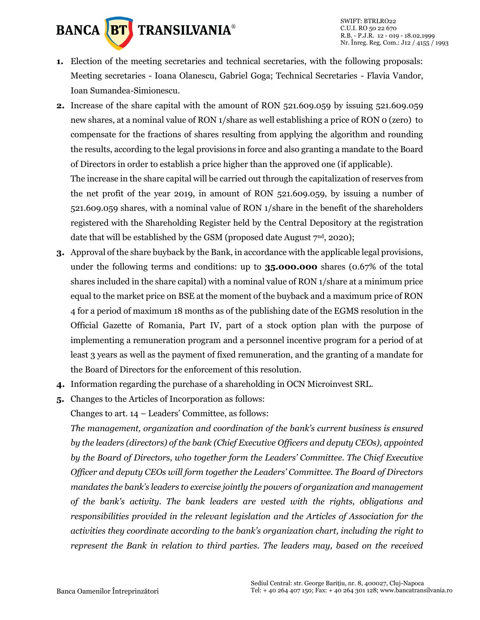

- **1.** Election of the meeting secretaries and technical secretaries, with the following proposals: Meeting secretaries - Ioana Olanescu, Gabriel Goga; Technical Secretaries - Flavia Vandor, Ioan Sumandea-Simionescu.
- **2.** Increase of the share capital with the amount of RON 521.609.059 by issuing 521.609.059 new shares, at a nominal value of RON 1/share as well establishing a price of RON 0 (zero) to compensate for the fractions of shares resulting from applying the algorithm and rounding the results, according to the legal provisions in force and also granting a mandate to the Board of Directors in order to establish a price higher than the approved one (if applicable).

The increase in the share capital will be carried out through the capitalization of reserves from the net profit of the year 2019, in amount of RON 521.609.059, by issuing a number of 521.609.059 shares, with a nominal value of RON 1/share in the benefit of the shareholders registered with the Shareholding Register held by the Central Depository at the registration date that will be established by the GSM (proposed date August  $7<sup>nd</sup>$ , 2020);

- **3.** Approval of the share buyback by the Bank, in accordance with the applicable legal provisions, under the following terms and conditions: up to **35.000.000** shares (0.67% of the total shares included in the share capital) with a nominal value of RON 1/share at a minimum price equal to the market price on BSE at the moment of the buyback and a maximum price of RON 4 for a period of maximum 18 months as of the publishing date of the EGMS resolution in the Official Gazette of Romania, Part IV, part of a stock option plan with the purpose of implementing a remuneration program and a personnel incentive program for a period of at least 3 years as well as the payment of fixed remuneration, and the granting of a mandate for the Board of Directors for the enforcement of this resolution.
- **4.** Information regarding the purchase of a shareholding in OCN Microinvest SRL.
- **5.** Changes to the Articles of Incorporation as follows:

Changes to art. 14 – Leaders' Committee, as follows:

*The management, organization and coordination of the bank's current business is ensured by the leaders (directors) of the bank (Chief Executive Officers and deputy CEOs), appointed by the Board of Directors, who together form the Leaders' Committee. The Chief Executive Officer and deputy CEOs will form together the Leaders' Committee. The Board of Directors mandates the bank's leaders to exercise jointly the powers of organization and management of the bank's activity. The bank leaders are vested with the rights, obligations and responsibilities provided in the relevant legislation and the Articles of Association for the activities they coordinate according to the bank's organization chart, including the right to represent the Bank in relation to third parties. The leaders may, based on the received*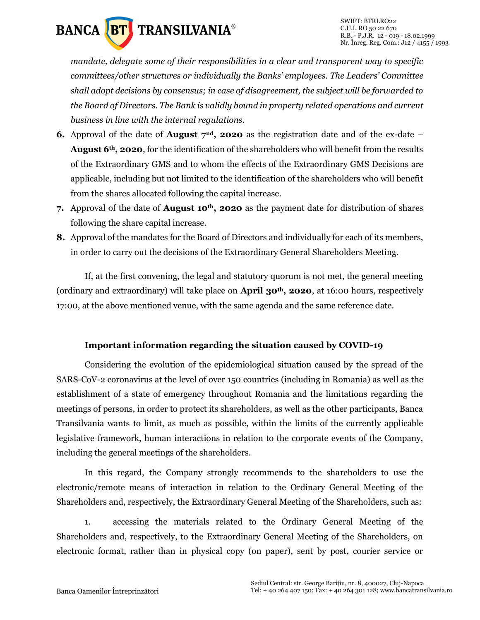

*mandate, delegate some of their responsibilities in a clear and transparent way to specific committees/other structures or individually the Banks' employees. The Leaders' Committee shall adopt decisions by consensus; in case of disagreement, the subject will be forwarded to the Board of Directors. The Bank is validly bound in property related operations and current business in line with the internal regulations.*

- **6.** Approval of the date of **August**  $7<sup>nd</sup>$ , **2020** as the registration date and of the ex-date **August 6th, 2020**, for the identification of the shareholders who will benefit from the results of the Extraordinary GMS and to whom the effects of the Extraordinary GMS Decisions are applicable, including but not limited to the identification of the shareholders who will benefit from the shares allocated following the capital increase.
- **7.** Approval of the date of **August 10th, 2020** as the payment date for distribution of shares following the share capital increase.
- **8.** Approval of the mandates for the Board of Directors and individually for each of its members, in order to carry out the decisions of the Extraordinary General Shareholders Meeting.

If, at the first convening, the legal and statutory quorum is not met, the general meeting (ordinary and extraordinary) will take place on **April 30th, 2020**, at 16:00 hours, respectively 17:00, at the above mentioned venue, with the same agenda and the same reference date.

#### **Important information regarding the situation caused by COVID-19**

Considering the evolution of the epidemiological situation caused by the spread of the SARS-CoV-2 coronavirus at the level of over 150 countries (including in Romania) as well as the establishment of a state of emergency throughout Romania and the limitations regarding the meetings of persons, in order to protect its shareholders, as well as the other participants, Banca Transilvania wants to limit, as much as possible, within the limits of the currently applicable legislative framework, human interactions in relation to the corporate events of the Company, including the general meetings of the shareholders.

In this regard, the Company strongly recommends to the shareholders to use the electronic/remote means of interaction in relation to the Ordinary General Meeting of the Shareholders and, respectively, the Extraordinary General Meeting of the Shareholders, such as:

1. accessing the materials related to the Ordinary General Meeting of the Shareholders and, respectively, to the Extraordinary General Meeting of the Shareholders, on electronic format, rather than in physical copy (on paper), sent by post, courier service or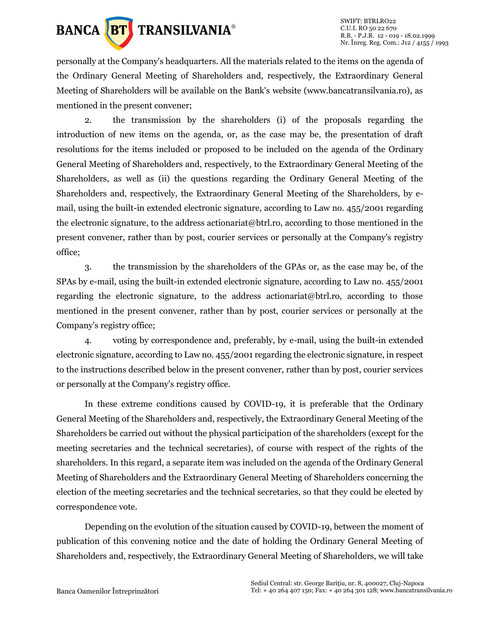

personally at the Company's headquarters. All the materials related to the items on the agenda of the Ordinary General Meeting of Shareholders and, respectively, the Extraordinary General Meeting of Shareholders will be available on the Bank's website (www.bancatransilvania.ro), as mentioned in the present convener;

2. the transmission by the shareholders (i) of the proposals regarding the introduction of new items on the agenda, or, as the case may be, the presentation of draft resolutions for the items included or proposed to be included on the agenda of the Ordinary General Meeting of Shareholders and, respectively, to the Extraordinary General Meeting of the Shareholders, as well as (ii) the questions regarding the Ordinary General Meeting of the Shareholders and, respectively, the Extraordinary General Meeting of the Shareholders, by email, using the built-in extended electronic signature, according to Law no. 455/2001 regarding the electronic signature, to the address actionariat@btrl.ro, according to those mentioned in the present convener, rather than by post, courier services or personally at the Company's registry office;

3. the transmission by the shareholders of the GPAs or, as the case may be, of the SPAs by e-mail, using the built-in extended electronic signature, according to Law no. 455/2001 regarding the electronic signature, to the address actionariat@btrl.ro, according to those mentioned in the present convener, rather than by post, courier services or personally at the Company's registry office;

4. voting by correspondence and, preferably, by e-mail, using the built-in extended electronic signature, according to Law no. 455/2001 regarding the electronic signature, in respect to the instructions described below in the present convener, rather than by post, courier services or personally at the Company's registry office.

In these extreme conditions caused by COVID-19, it is preferable that the Ordinary General Meeting of the Shareholders and, respectively, the Extraordinary General Meeting of the Shareholders be carried out without the physical participation of the shareholders (except for the meeting secretaries and the technical secretaries), of course with respect of the rights of the shareholders. In this regard, a separate item was included on the agenda of the Ordinary General Meeting of Shareholders and the Extraordinary General Meeting of Shareholders concerning the election of the meeting secretaries and the technical secretaries, so that they could be elected by correspondence vote.

Depending on the evolution of the situation caused by COVID-19, between the moment of publication of this convening notice and the date of holding the Ordinary General Meeting of Shareholders and, respectively, the Extraordinary General Meeting of Shareholders, we will take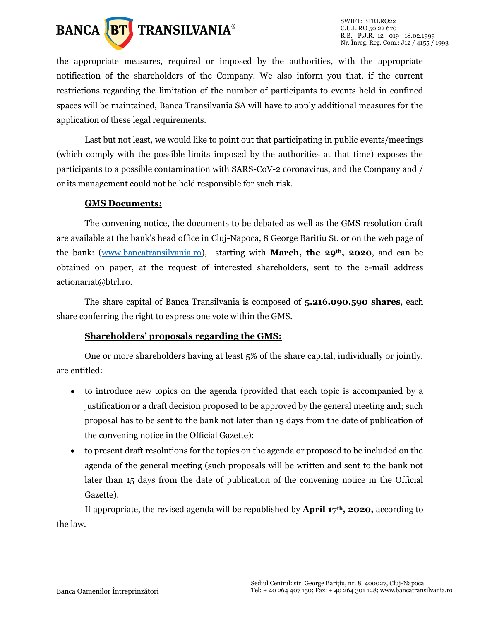

the appropriate measures, required or imposed by the authorities, with the appropriate notification of the shareholders of the Company. We also inform you that, if the current restrictions regarding the limitation of the number of participants to events held in confined spaces will be maintained, Banca Transilvania SA will have to apply additional measures for the application of these legal requirements.

Last but not least, we would like to point out that participating in public events/meetings (which comply with the possible limits imposed by the authorities at that time) exposes the participants to a possible contamination with SARS-CoV-2 coronavirus, and the Company and / or its management could not be held responsible for such risk.

#### **GMS Documents:**

The convening notice, the documents to be debated as well as the GMS resolution draft are available at the bank's head office in Cluj-Napoca, 8 George Baritiu St. or on the web page of the bank: [\(www.bancatransilvania.ro\)](http://www.bancatransilvania.ro/), starting with **March, the 29th, 2020**, and can be obtained on paper, at the request of interested shareholders, sent to the e-mail address actionariat@btrl.ro.

The share capital of Banca Transilvania is composed of **5.216.090.590 shares**, each share conferring the right to express one vote within the GMS.

#### **Shareholders' proposals regarding the GMS:**

One or more shareholders having at least 5% of the share capital, individually or jointly, are entitled:

- to introduce new topics on the agenda (provided that each topic is accompanied by a justification or a draft decision proposed to be approved by the general meeting and; such proposal has to be sent to the bank not later than 15 days from the date of publication of the convening notice in the Official Gazette);
- to present draft resolutions for the topics on the agenda or proposed to be included on the agenda of the general meeting (such proposals will be written and sent to the bank not later than 15 days from the date of publication of the convening notice in the Official Gazette).

If appropriate, the revised agenda will be republished by **April 17th, 2020,** according to the law.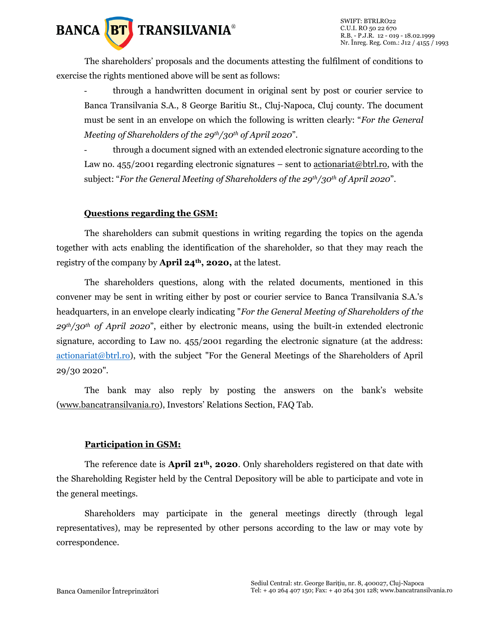

The shareholders' proposals and the documents attesting the fulfilment of conditions to exercise the rights mentioned above will be sent as follows:

through a handwritten document in original sent by post or courier service to Banca Transilvania S.A., 8 George Baritiu St., Cluj-Napoca, Cluj county. The document must be sent in an envelope on which the following is written clearly: "*For the General Meeting of Shareholders of the 29th/30th of April 2020*".

- through a document signed with an extended electronic signature according to the Law no. 455/2001 regarding electronic signatures – sent to actionariat  $\omega$  btrl. ro, with the subject: "*For the General Meeting of Shareholders of the 29th/30th of April 2020*".

#### **Questions regarding the GSM:**

The shareholders can submit questions in writing regarding the topics on the agenda together with acts enabling the identification of the shareholder, so that they may reach the registry of the company by **April 24th, 2020,** at the latest.

The shareholders questions, along with the related documents, mentioned in this convener may be sent in writing either by post or courier service to Banca Transilvania S.A.'s headquarters, in an envelope clearly indicating "*For the General Meeting of Shareholders of the 29th/30th of April 2020*", either by electronic means, using the built-in extended electronic signature, according to Law no. 455/2001 regarding the electronic signature (at the address: [actionariat@btrl.ro\)](mailto:actionariat@btrl.ro), with the subject "For the General Meetings of the Shareholders of April 29/30 2020".

The bank may also reply by posting the answers on the bank's website [\(www.bancatransilvania.ro](http://www.bancatransilvania.ro/)), Investors' Relations Section, FAQ Tab.

#### **Participation in GSM:**

The reference date is **April 21th, 2020**. Only shareholders registered on that date with the Shareholding Register held by the Central Depository will be able to participate and vote in the general meetings.

Shareholders may participate in the general meetings directly (through legal representatives), may be represented by other persons according to the law or may vote by correspondence.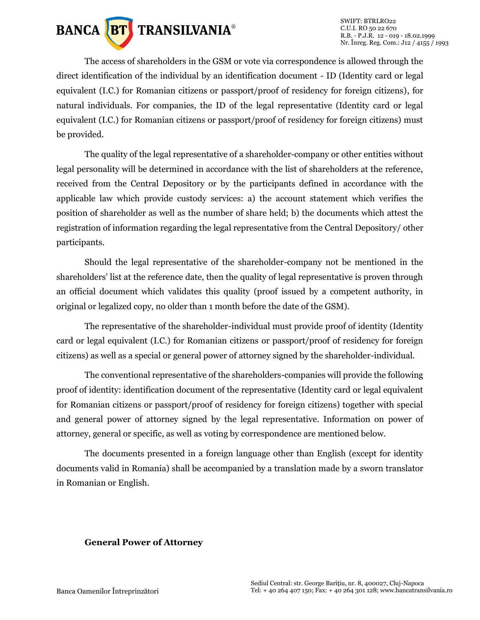

The access of shareholders in the GSM or vote via correspondence is allowed through the direct identification of the individual by an identification document - ID (Identity card or legal equivalent (I.C.) for Romanian citizens or passport/proof of residency for foreign citizens), for natural individuals. For companies, the ID of the legal representative (Identity card or legal equivalent (I.C.) for Romanian citizens or passport/proof of residency for foreign citizens) must be provided.

The quality of the legal representative of a shareholder-company or other entities without legal personality will be determined in accordance with the list of shareholders at the reference, received from the Central Depository or by the participants defined in accordance with the applicable law which provide custody services: a) the account statement which verifies the position of shareholder as well as the number of share held; b) the documents which attest the registration of information regarding the legal representative from the Central Depository/ other participants.

Should the legal representative of the shareholder-company not be mentioned in the shareholders' list at the reference date, then the quality of legal representative is proven through an official document which validates this quality (proof issued by a competent authority, in original or legalized copy, no older than 1 month before the date of the GSM).

The representative of the shareholder-individual must provide proof of identity (Identity card or legal equivalent (I.C.) for Romanian citizens or passport/proof of residency for foreign citizens) as well as a special or general power of attorney signed by the shareholder-individual.

The conventional representative of the shareholders-companies will provide the following proof of identity: identification document of the representative (Identity card or legal equivalent for Romanian citizens or passport/proof of residency for foreign citizens) together with special and general power of attorney signed by the legal representative. Information on power of attorney, general or specific, as well as voting by correspondence are mentioned below.

The documents presented in a foreign language other than English (except for identity documents valid in Romania) shall be accompanied by a translation made by a sworn translator in Romanian or English.

#### **General Power of Attorney**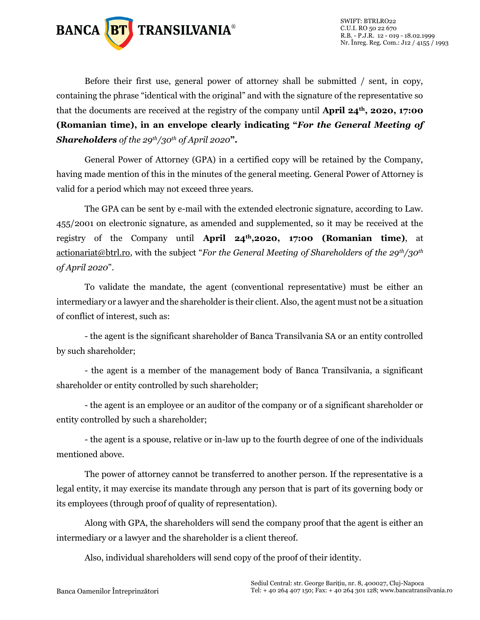

Before their first use, general power of attorney shall be submitted / sent, in copy, containing the phrase "identical with the original" and with the signature of the representative so that the documents are received at the registry of the company until **April 24th, 2020, 17:00 (Romanian time), in an envelope clearly indicating "***For the General Meeting of Shareholders of the 29th/30th of April 2020***".**

General Power of Attorney (GPA) in a certified copy will be retained by the Company, having made mention of this in the minutes of the general meeting. General Power of Attorney is valid for a period which may not exceed three years.

The GPA can be sent by e-mail with the extended electronic signature, according to Law. 455/2001 on electronic signature, as amended and supplemented, so it may be received at the registry of the Company until **April 24th,2020, 17:00 (Romanian time)**, at [actionariat@btrl.ro](mailto:actionariat@btrl.ro), with the subject "*For the General Meeting of Shareholders of the 29th/30th of April 2020*".

To validate the mandate, the agent (conventional representative) must be either an intermediary or a lawyer and the shareholder is their client. Also, the agent must not be a situation of conflict of interest, such as:

- the agent is the significant shareholder of Banca Transilvania SA or an entity controlled by such shareholder;

- the agent is a member of the management body of Banca Transilvania, a significant shareholder or entity controlled by such shareholder;

- the agent is an employee or an auditor of the company or of a significant shareholder or entity controlled by such a shareholder;

- the agent is a spouse, relative or in-law up to the fourth degree of one of the individuals mentioned above.

The power of attorney cannot be transferred to another person. If the representative is a legal entity, it may exercise its mandate through any person that is part of its governing body or its employees (through proof of quality of representation).

Along with GPA, the shareholders will send the company proof that the agent is either an intermediary or a lawyer and the shareholder is a client thereof.

Also, individual shareholders will send copy of the proof of their identity.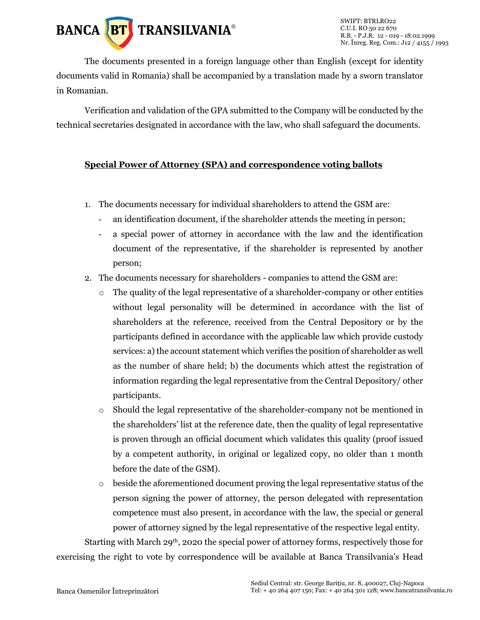

The documents presented in a foreign language other than English (except for identity documents valid in Romania) shall be accompanied by a translation made by a sworn translator in Romanian.

Verification and validation of the GPA submitted to the Company will be conducted by the technical secretaries designated in accordance with the law, who shall safeguard the documents.

#### **Special Power of Attorney (SPA) and correspondence voting ballots**

- 1. The documents necessary for individual shareholders to attend the GSM are:
	- an identification document, if the shareholder attends the meeting in person;
	- a special power of attorney in accordance with the law and the identification document of the representative, if the shareholder is represented by another person;
- 2. The documents necessary for shareholders companies to attend the GSM are:
	- o The quality of the legal representative of a shareholder-company or other entities without legal personality will be determined in accordance with the list of shareholders at the reference, received from the Central Depository or by the participants defined in accordance with the applicable law which provide custody services: a) the account statement which verifies the position of shareholder as well as the number of share held; b) the documents which attest the registration of information regarding the legal representative from the Central Depository/ other participants.
	- o Should the legal representative of the shareholder-company not be mentioned in the shareholders' list at the reference date, then the quality of legal representative is proven through an official document which validates this quality (proof issued by a competent authority, in original or legalized copy, no older than 1 month before the date of the GSM).
	- $\circ$  beside the aforementioned document proving the legal representative status of the person signing the power of attorney, the person delegated with representation competence must also present, in accordance with the law, the special or general power of attorney signed by the legal representative of the respective legal entity.

Starting with March 29th, 2020 the special power of attorney forms, respectively those for exercising the right to vote by correspondence will be available at Banca Transilvania's Head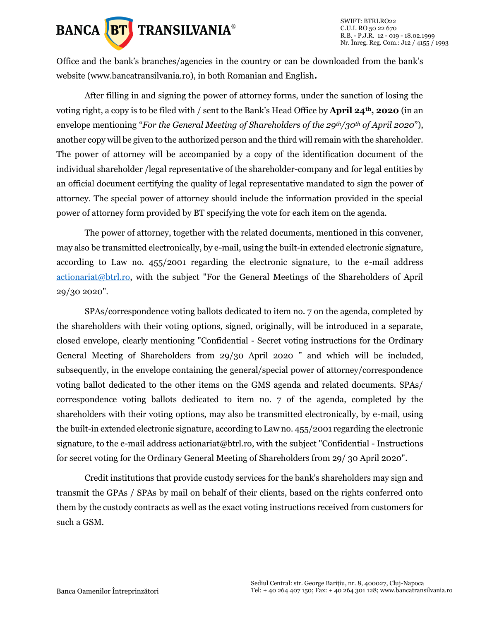

Office and the bank's branches/agencies in the country or can be downloaded from the bank's website [\(www.bancatransilvania.ro\)](http://www.bancatransilvania.ro/), in both Romanian and English**.**

After filling in and signing the power of attorney forms, under the sanction of losing the voting right, a copy is to be filed with / sent to the Bank's Head Office by **April 24th, 2020** (in an envelope mentioning "*For the General Meeting of Shareholders of the 29th/30th of April 2020*"), another copy will be given to the authorized person and the third will remain with the shareholder. The power of attorney will be accompanied by a copy of the identification document of the individual shareholder /legal representative of the shareholder-company and for legal entities by an official document certifying the quality of legal representative mandated to sign the power of attorney. The special power of attorney should include the information provided in the special power of attorney form provided by BT specifying the vote for each item on the agenda.

The power of attorney, together with the related documents, mentioned in this convener, may also be transmitted electronically, by e-mail, using the built-in extended electronic signature, according to Law no. 455/2001 regarding the electronic signature, to the e-mail address [actionariat@btrl.ro,](mailto:actionariat@btrl.ro) with the subject "For the General Meetings of the Shareholders of April 29/30 2020".

SPAs/correspondence voting ballots dedicated to item no. 7 on the agenda, completed by the shareholders with their voting options, signed, originally, will be introduced in a separate, closed envelope, clearly mentioning "Confidential - Secret voting instructions for the Ordinary General Meeting of Shareholders from 29/30 April 2020 " and which will be included, subsequently, in the envelope containing the general/special power of attorney/correspondence voting ballot dedicated to the other items on the GMS agenda and related documents. SPAs/ correspondence voting ballots dedicated to item no. 7 of the agenda, completed by the shareholders with their voting options, may also be transmitted electronically, by e-mail, using the built-in extended electronic signature, according to Law no. 455/2001 regarding the electronic signature, to the e-mail address actionariat@btrl.ro, with the subject "Confidential - Instructions for secret voting for the Ordinary General Meeting of Shareholders from 29/ 30 April 2020".

Credit institutions that provide custody services for the bank's shareholders may sign and transmit the GPAs / SPAs by mail on behalf of their clients, based on the rights conferred onto them by the custody contracts as well as the exact voting instructions received from customers for such a GSM.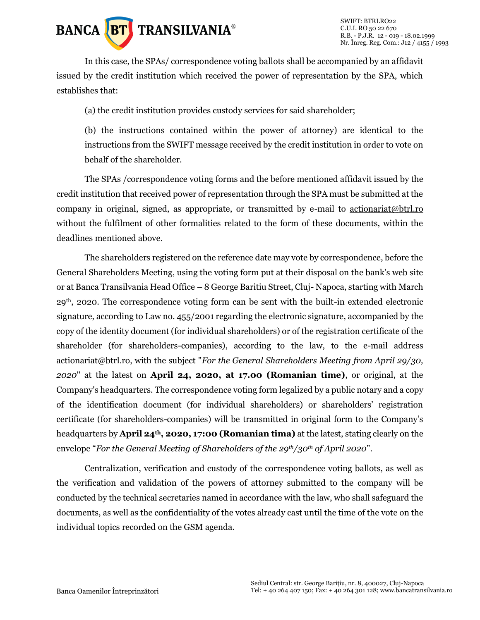

In this case, the SPAs/ correspondence voting ballots shall be accompanied by an affidavit issued by the credit institution which received the power of representation by the SPA, which establishes that:

(a) the credit institution provides custody services for said shareholder;

(b) the instructions contained within the power of attorney) are identical to the instructions from the SWIFT message received by the credit institution in order to vote on behalf of the shareholder.

The SPAs /correspondence voting forms and the before mentioned affidavit issued by the credit institution that received power of representation through the SPA must be submitted at the company in original, signed, as appropriate, or transmitted by e-mail to [actionariat@btrl.ro](mailto:actionariat@btrl.ro) without the fulfilment of other formalities related to the form of these documents, within the deadlines mentioned above.

The shareholders registered on the reference date may vote by correspondence, before the General Shareholders Meeting, using the voting form put at their disposal on the bank's web site or at Banca Transilvania Head Office – 8 George Baritiu Street, Cluj- Napoca, starting with March 29th, 2020. The correspondence voting form can be sent with the built-in extended electronic signature, according to Law no. 455/2001 regarding the electronic signature, accompanied by the copy of the identity document (for individual shareholders) or of the registration certificate of the shareholder (for shareholders-companies), according to the law, to the e-mail address actionariat@btrl.ro, with the subject "*For the General Shareholders Meeting from April 29/30, 2020*" at the latest on **April 24, 2020, at 17.00 (Romanian time)**, or original, at the Company's headquarters. The correspondence voting form legalized by a public notary and a copy of the identification document (for individual shareholders) or shareholders' registration certificate (for shareholders-companies) will be transmitted in original form to the Company's headquarters by **April 24th, 2020, 17:00 (Romanian tima)** at the latest, stating clearly on the envelope "*For the General Meeting of Shareholders of the 29th/30th of April 2020*".

Centralization, verification and custody of the correspondence voting ballots, as well as the verification and validation of the powers of attorney submitted to the company will be conducted by the technical secretaries named in accordance with the law, who shall safeguard the documents, as well as the confidentiality of the votes already cast until the time of the vote on the individual topics recorded on the GSM agenda.